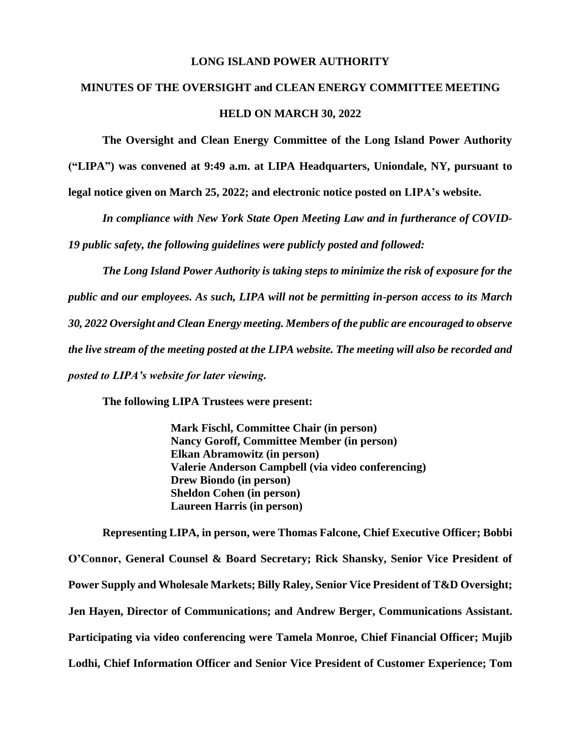### **LONG ISLAND POWER AUTHORITY**

# **MINUTES OF THE OVERSIGHT and CLEAN ENERGY COMMITTEE MEETING HELD ON MARCH 30, 2022**

**The Oversight and Clean Energy Committee of the Long Island Power Authority** 

**("LIPA") was convened at 9:49 a.m. at LIPA Headquarters, Uniondale, NY, pursuant to**

**legal notice given on March 25, 2022; and electronic notice posted on LIPA's website.** 

*In compliance with New York State Open Meeting Law and in furtherance of COVID-*

*19 public safety, the following guidelines were publicly posted and followed:*

*The Long Island Power Authority is taking steps to minimize the risk of exposure for the public and our employees. As such, LIPA will not be permitting in-person access to its March 30, 2022 Oversight and Clean Energy meeting. Members of the public are encouraged to observe the live stream of the meeting posted at the LIPA website. The meeting will also be recorded and posted to LIPA's website for later viewing.*

**The following LIPA Trustees were present:**

**Mark Fischl, Committee Chair (in person) Nancy Goroff, Committee Member (in person) Elkan Abramowitz (in person) Valerie Anderson Campbell (via video conferencing) Drew Biondo (in person) Sheldon Cohen (in person) Laureen Harris (in person)**

**Representing LIPA, in person, were Thomas Falcone, Chief Executive Officer; Bobbi O'Connor, General Counsel & Board Secretary; Rick Shansky, Senior Vice President of Power Supply and Wholesale Markets; Billy Raley, Senior Vice President of T&D Oversight; Jen Hayen, Director of Communications; and Andrew Berger, Communications Assistant. Participating via video conferencing were Tamela Monroe, Chief Financial Officer; Mujib Lodhi, Chief Information Officer and Senior Vice President of Customer Experience; Tom**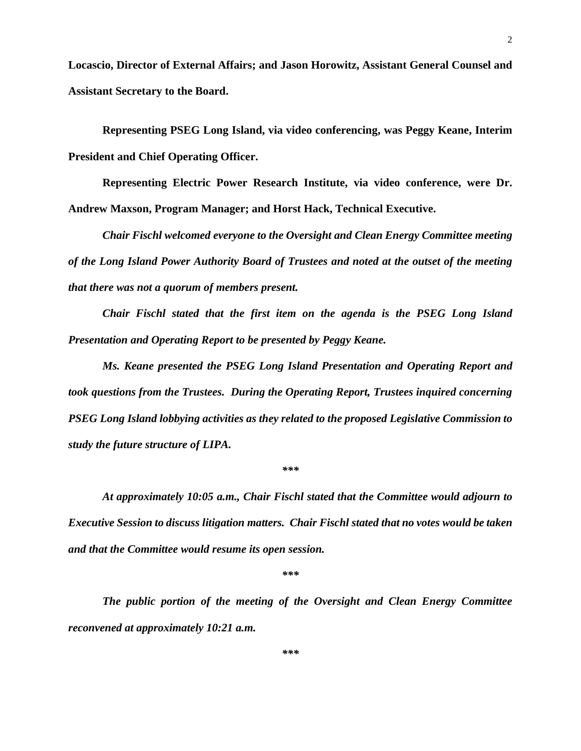**Locascio, Director of External Affairs; and Jason Horowitz, Assistant General Counsel and Assistant Secretary to the Board.**

**Representing PSEG Long Island, via video conferencing, was Peggy Keane, Interim President and Chief Operating Officer.**

**Representing Electric Power Research Institute, via video conference, were Dr. Andrew Maxson, Program Manager; and Horst Hack, Technical Executive.** 

*Chair Fischl welcomed everyone to the Oversight and Clean Energy Committee meeting of the Long Island Power Authority Board of Trustees and noted at the outset of the meeting that there was not a quorum of members present.*

*Chair Fischl stated that the first item on the agenda is the PSEG Long Island Presentation and Operating Report to be presented by Peggy Keane.* 

*Ms. Keane presented the PSEG Long Island Presentation and Operating Report and took questions from the Trustees. During the Operating Report, Trustees inquired concerning PSEG Long Island lobbying activities as they related to the proposed Legislative Commission to study the future structure of LIPA.* 

*\*\*\**

*At approximately 10:05 a.m., Chair Fischl stated that the Committee would adjourn to Executive Session to discuss litigation matters. Chair Fischl stated that no votes would be taken and that the Committee would resume its open session.* 

*\*\*\**

*The public portion of the meeting of the Oversight and Clean Energy Committee reconvened at approximately 10:21 a.m.*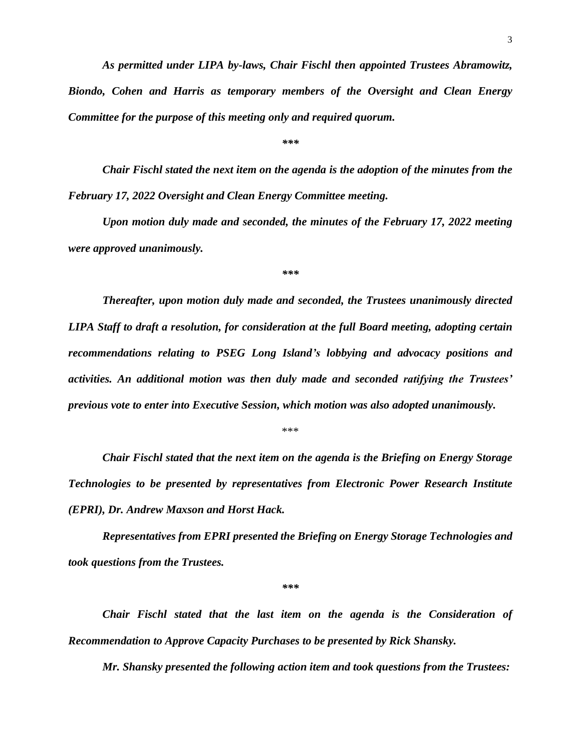*As permitted under LIPA by-laws, Chair Fischl then appointed Trustees Abramowitz,* 

*Biondo, Cohen and Harris as temporary members of the Oversight and Clean Energy Committee for the purpose of this meeting only and required quorum.* 

*\*\*\**

*Chair Fischl stated the next item on the agenda is the adoption of the minutes from the February 17, 2022 Oversight and Clean Energy Committee meeting.* 

*Upon motion duly made and seconded, the minutes of the February 17, 2022 meeting were approved unanimously.*

*\*\*\**

*Thereafter, upon motion duly made and seconded, the Trustees unanimously directed LIPA Staff to draft a resolution, for consideration at the full Board meeting, adopting certain recommendations relating to PSEG Long Island's lobbying and advocacy positions and activities. An additional motion was then duly made and seconded ratifying the Trustees' previous vote to enter into Executive Session, which motion was also adopted unanimously.* 

\*\*\*

*Chair Fischl stated that the next item on the agenda is the Briefing on Energy Storage Technologies to be presented by representatives from Electronic Power Research Institute (EPRI), Dr. Andrew Maxson and Horst Hack.* 

*Representatives from EPRI presented the Briefing on Energy Storage Technologies and took questions from the Trustees.*

*\*\*\**

*Chair Fischl stated that the last item on the agenda is the Consideration of Recommendation to Approve Capacity Purchases to be presented by Rick Shansky.*

*Mr. Shansky presented the following action item and took questions from the Trustees:*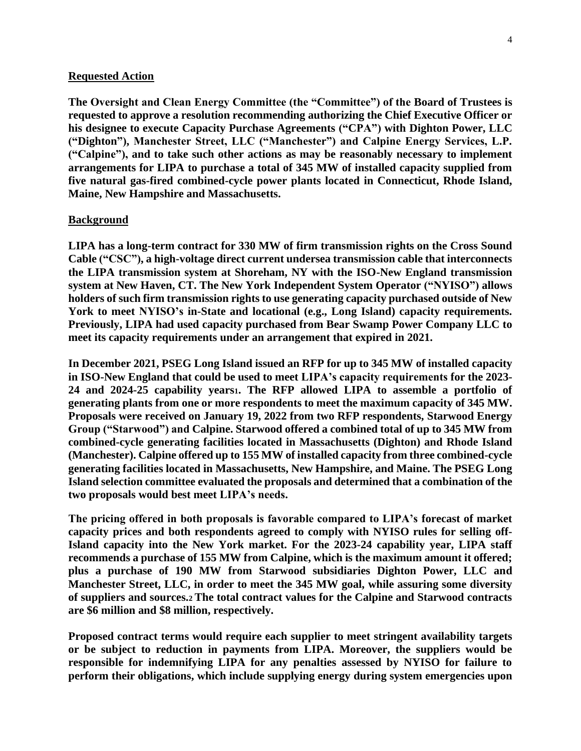#### **Requested Action**

**The Oversight and Clean Energy Committee (the "Committee") of the Board of Trustees is requested to approve a resolution recommending authorizing the Chief Executive Officer or his designee to execute Capacity Purchase Agreements ("CPA") with Dighton Power, LLC ("Dighton"), Manchester Street, LLC ("Manchester") and Calpine Energy Services, L.P. ("Calpine"), and to take such other actions as may be reasonably necessary to implement arrangements for LIPA to purchase a total of 345 MW of installed capacity supplied from five natural gas-fired combined-cycle power plants located in Connecticut, Rhode Island, Maine, New Hampshire and Massachusetts.**

#### **Background**

**LIPA has a long-term contract for 330 MW of firm transmission rights on the Cross Sound Cable ("CSC"), a high-voltage direct current undersea transmission cable that interconnects the LIPA transmission system at Shoreham, NY with the ISO-New England transmission system at New Haven, CT. The New York Independent System Operator ("NYISO") allows holders of such firm transmission rights to use generating capacity purchased outside of New York to meet NYISO's in-State and locational (e.g., Long Island) capacity requirements. Previously, LIPA had used capacity purchased from Bear Swamp Power Company LLC to meet its capacity requirements under an arrangement that expired in 2021.**

**In December 2021, PSEG Long Island issued an RFP for up to 345 MW of installed capacity in ISO-New England that could be used to meet LIPA's capacity requirements for the 2023- 24 and 2024-25 capability years1. The RFP allowed LIPA to assemble a portfolio of generating plants from one or more respondents to meet the maximum capacity of 345 MW. Proposals were received on January 19, 2022 from two RFP respondents, Starwood Energy Group ("Starwood") and Calpine. Starwood offered a combined total of up to 345 MW from combined-cycle generating facilities located in Massachusetts (Dighton) and Rhode Island (Manchester). Calpine offered up to 155 MW of installed capacity from three combined-cycle generating facilities located in Massachusetts, New Hampshire, and Maine. The PSEG Long Island selection committee evaluated the proposals and determined that a combination of the two proposals would best meet LIPA's needs.**

**The pricing offered in both proposals is favorable compared to LIPA's forecast of market capacity prices and both respondents agreed to comply with NYISO rules for selling off-Island capacity into the New York market. For the 2023-24 capability year, LIPA staff recommends a purchase of 155 MW from Calpine, which is the maximum amount it offered; plus a purchase of 190 MW from Starwood subsidiaries Dighton Power, LLC and Manchester Street, LLC, in order to meet the 345 MW goal, while assuring some diversity of suppliers and sources.2 The total contract values for the Calpine and Starwood contracts are \$6 million and \$8 million, respectively.**

**Proposed contract terms would require each supplier to meet stringent availability targets or be subject to reduction in payments from LIPA. Moreover, the suppliers would be responsible for indemnifying LIPA for any penalties assessed by NYISO for failure to perform their obligations, which include supplying energy during system emergencies upon**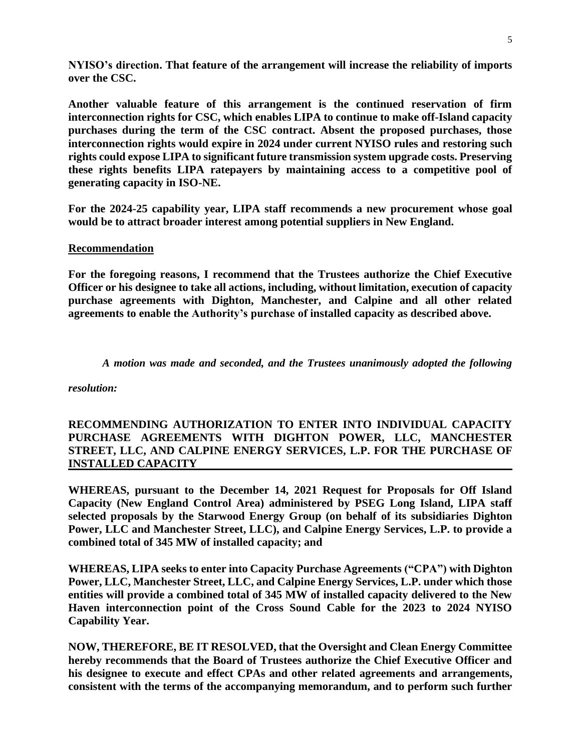**NYISO's direction. That feature of the arrangement will increase the reliability of imports over the CSC.**

**Another valuable feature of this arrangement is the continued reservation of firm interconnection rights for CSC, which enables LIPA to continue to make off-Island capacity purchases during the term of the CSC contract. Absent the proposed purchases, those interconnection rights would expire in 2024 under current NYISO rules and restoring such rights could expose LIPA to significant future transmission system upgrade costs. Preserving these rights benefits LIPA ratepayers by maintaining access to a competitive pool of generating capacity in ISO-NE.**

**For the 2024-25 capability year, LIPA staff recommends a new procurement whose goal would be to attract broader interest among potential suppliers in New England.**

## **Recommendation**

**For the foregoing reasons, I recommend that the Trustees authorize the Chief Executive Officer or his designee to take all actions, including, without limitation, execution of capacity purchase agreements with Dighton, Manchester, and Calpine and all other related agreements to enable the Authority's purchase of installed capacity as described above.**

*A motion was made and seconded, and the Trustees unanimously adopted the following* 

*resolution:*

# **RECOMMENDING AUTHORIZATION TO ENTER INTO INDIVIDUAL CAPACITY PURCHASE AGREEMENTS WITH DIGHTON POWER, LLC, MANCHESTER STREET, LLC, AND CALPINE ENERGY SERVICES, L.P. FOR THE PURCHASE OF INSTALLED CAPACITY**

**WHEREAS, pursuant to the December 14, 2021 Request for Proposals for Off Island Capacity (New England Control Area) administered by PSEG Long Island, LIPA staff selected proposals by the Starwood Energy Group (on behalf of its subsidiaries Dighton Power, LLC and Manchester Street, LLC), and Calpine Energy Services, L.P. to provide a combined total of 345 MW of installed capacity; and**

**WHEREAS, LIPA seeks to enter into Capacity Purchase Agreements ("CPA") with Dighton Power, LLC, Manchester Street, LLC, and Calpine Energy Services, L.P. under which those entities will provide a combined total of 345 MW of installed capacity delivered to the New Haven interconnection point of the Cross Sound Cable for the 2023 to 2024 NYISO Capability Year.**

**NOW, THEREFORE, BE IT RESOLVED, that the Oversight and Clean Energy Committee hereby recommends that the Board of Trustees authorize the Chief Executive Officer and his designee to execute and effect CPAs and other related agreements and arrangements, consistent with the terms of the accompanying memorandum, and to perform such further**